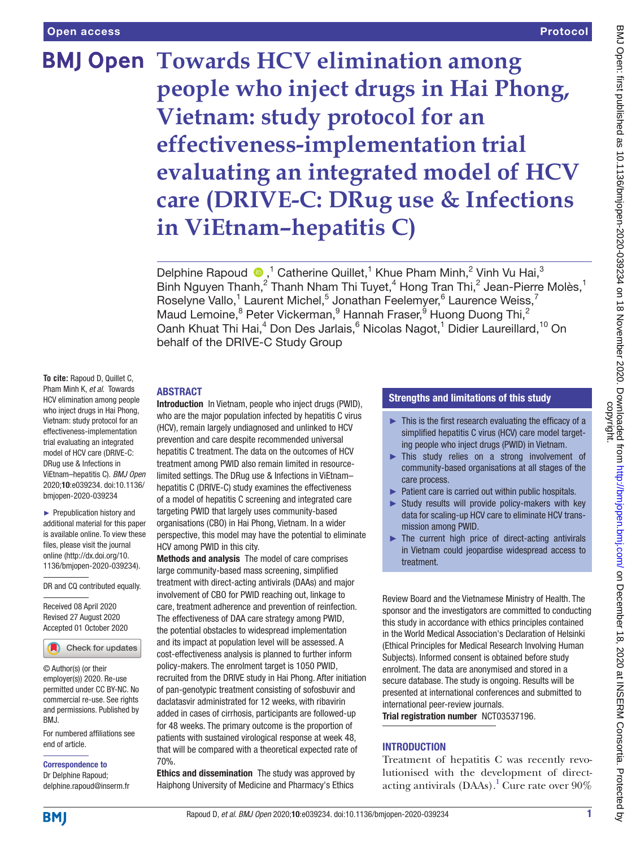# **BMJ Open Towards HCV elimination among people who inject drugs in Hai Phong, Vietnam: study protocol for an effectiveness-implementation trial evaluating an integrated model of HCV care (DRIVE-C: DRug use & Infections in ViEtnam–hepatitis C)**

DelphineRapoud  $\bullet$ ,<sup>1</sup> Catherine Quillet,<sup>1</sup> Khue Pham Minh,<sup>2</sup> Vinh Vu Hai,<sup>3</sup> Binh Nguyen Thanh,<sup>2</sup> Thanh Nham Thi Tuyet,<sup>4</sup> Hong Tran Thi,<sup>2</sup> Jean-Pierre Molès,<sup>1</sup> Roselyne Vallo,<sup>1</sup> Laurent Michel,<sup>5</sup> Jonathan Feelemyer,<sup>6</sup> Laurence Weiss,<sup>7</sup> Maud Lemoine, <sup>8</sup> Peter Vickerman, <sup>9</sup> Hannah Fraser, <sup>9</sup> Huong Duong Thi, <sup>2</sup> Oanh Khuat Thi Hai,<sup>4</sup> Don Des Jarlais,<sup>6</sup> Nicolas Nagot,<sup>1</sup> Didier Laureillard,<sup>10</sup> On behalf of the DRIVE-C Study Group

**To cite:** Rapoud D, Quillet C, Pham Minh K, *et al*. Towards HCV elimination among people who inject drugs in Hai Phong, Vietnam: study protocol for an effectiveness-implementation trial evaluating an integrated model of HCV care (DRIVE-C: DRug use & Infections in ViEtnam–hepatitis C). *BMJ Open* 2020;10:e039234. doi:10.1136/ bmjopen-2020-039234

► Prepublication history and additional material for this paper is available online. To view these files, please visit the journal online (http://dx.doi.org/10. 1136/bmjopen-2020-039234).

DR and CQ contributed equally.

Received 08 April 2020 Revised 27 August 2020 Accepted 01 October 2020



© Author(s) (or their employer(s)) 2020. Re-use permitted under CC BY-NC. No commercial re-use. See rights and permissions. Published by BMJ.

For numbered affiliations see end of article.

Correspondence to Dr Delphine Rapoud;

delphine.rapoud@inserm.fr

## ABSTRACT

Introduction In Vietnam, people who inject drugs (PWID), who are the major population infected by hepatitis C virus (HCV), remain largely undiagnosed and unlinked to HCV prevention and care despite recommended universal hepatitis C treatment. The data on the outcomes of HCV treatment among PWID also remain limited in resourcelimited settings. The DRug use & Infections in ViEtnam– hepatitis C (DRIVE-C) study examines the effectiveness of a model of hepatitis C screening and integrated care targeting PWID that largely uses community-based organisations (CBO) in Hai Phong, Vietnam. In a wider perspective, this model may have the potential to eliminate HCV among PWID in this city.

Methods and analysis The model of care comprises large community-based mass screening, simplified treatment with direct-acting antivirals (DAAs) and major involvement of CBO for PWID reaching out, linkage to care, treatment adherence and prevention of reinfection. The effectiveness of DAA care strategy among PWID, the potential obstacles to widespread implementation and its impact at population level will be assessed. A cost-effectiveness analysis is planned to further inform policy-makers. The enrolment target is 1050 PWID, recruited from the DRIVE study in Hai Phong. After initiation of pan-genotypic treatment consisting of sofosbuvir and daclatasvir administrated for 12 weeks, with ribavirin added in cases of cirrhosis, participants are followed-up for 48 weeks. The primary outcome is the proportion of patients with sustained virological response at week 48, that will be compared with a theoretical expected rate of 70%.

Ethics and dissemination The study was approved by Haiphong University of Medicine and Pharmacy's Ethics

#### Strengths and limitations of this study

- ► This is the first research evaluating the efficacy of a simplified hepatitis C virus (HCV) care model targeting people who inject drugs (PWID) in Vietnam.
- ► This study relies on a strong involvement of community-based organisations at all stages of the care process.
- ► Patient care is carried out within public hospitals.
- ► Study results will provide policy-makers with key data for scaling-up HCV care to eliminate HCV transmission among PWID.
- $\blacktriangleright$  The current high price of direct-acting antivirals in Vietnam could jeopardise widespread access to treatment.

Review Board and the Vietnamese Ministry of Health. The sponsor and the investigators are committed to conducting this study in accordance with ethics principles contained in the World Medical Association's Declaration of Helsinki (Ethical Principles for Medical Research Involving Human Subjects). Informed consent is obtained before study enrolment. The data are anonymised and stored in a secure database. The study is ongoing. Results will be presented at international conferences and submitted to international peer-review journals.

Trial registration number [NCT03537196.](NCT03537196)

### **INTRODUCTION**

Treatment of hepatitis C was recently revolutionised with the development of direct-acting antivirals (DAAs).<sup>[1](#page-9-0)</sup> Cure rate over 90%

**BMI**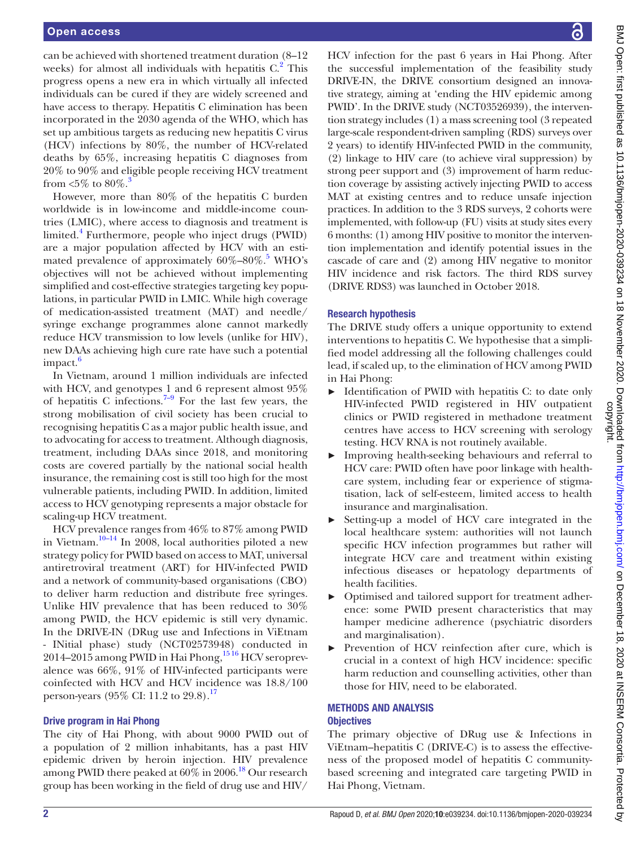can be achieved with shortened treatment duration (8–12 weeks) for almost all individuals with hepatitis  $C<sup>2</sup>$  $C<sup>2</sup>$  $C<sup>2</sup>$ . This progress opens a new era in which virtually all infected individuals can be cured if they are widely screened and have access to therapy. Hepatitis C elimination has been incorporated in the 2030 agenda of the WHO, which has set up ambitious targets as reducing new hepatitis C virus (HCV) infections by 80%, the number of HCV-related deaths by 65%, increasing hepatitis C diagnoses from 20% to 90% and eligible people receiving HCV treatment from  $<5\%$  to  $80\%$ .<sup>[3](#page-9-2)</sup>

However, more than 80% of the hepatitis C burden worldwide is in low-income and middle-income countries (LMIC), where access to diagnosis and treatment is limited[.4](#page-9-3) Furthermore, people who inject drugs (PWID) are a major population affected by HCV with an estimated prevalence of approximately 60%-80%.<sup>5</sup> WHO's objectives will not be achieved without implementing simplified and cost-effective strategies targeting key populations, in particular PWID in LMIC. While high coverage of medication-assisted treatment (MAT) and needle/ syringe exchange programmes alone cannot markedly reduce HCV transmission to low levels (unlike for HIV), new DAAs achieving high cure rate have such a potential impact.<sup>[6](#page-9-5)</sup>

In Vietnam, around 1 million individuals are infected with HCV, and genotypes 1 and 6 represent almost 95% of hepatitis C infections.<sup>7-9</sup> For the last few years, the strong mobilisation of civil society has been crucial to recognising hepatitis C as a major public health issue, and to advocating for access to treatment. Although diagnosis, treatment, including DAAs since 2018, and monitoring costs are covered partially by the national social health insurance, the remaining cost is still too high for the most vulnerable patients, including PWID. In addition, limited access to HCV genotyping represents a major obstacle for scaling-up HCV treatment.

HCV prevalence ranges from 46% to 87% among PWID in Vietnam.<sup>[10–14](#page-9-7)</sup> In 2008, local authorities piloted a new strategy policy for PWID based on access to MAT, universal antiretroviral treatment (ART) for HIV-infected PWID and a network of community-based organisations (CBO) to deliver harm reduction and distribute free syringes. Unlike HIV prevalence that has been reduced to 30% among PWID, the HCV epidemic is still very dynamic. In the DRIVE-IN (DRug use and Infections in ViEtnam - INitial phase) study (NCT02573948) conducted in  $2014-2015$  among PWID in Hai Phong,  $^{1516}$  HCV seroprevalence was 66%, 91% of HIV-infected participants were coinfected with HCV and HCV incidence was 18.8/100 person-years (95% CI: 11.2 to 29.8).<sup>17</sup>

#### Drive program in Hai Phong

The city of Hai Phong, with about 9000 PWID out of a population of 2 million inhabitants, has a past HIV epidemic driven by heroin injection. HIV prevalence among PWID there peaked at  $60\%$  in 2006.<sup>18</sup> Our research group has been working in the field of drug use and HIV/

BMJ Open: first published as 10.1136/bmjopen-2020-039234 on 18 November 2020. Downloaded from http://bmjopen.bmj.com/ on December 18, 2020 at INSERM Consortia. Protected by<br>copyright. BMJ Open: first published as 10.1136/bmjopen-2020-039234 on 18 November 2020. Downloaded from <http://bmjopen.bmj.com/> on December 18, 2020 at INSERM Consortia. Protected by

HCV infection for the past 6 years in Hai Phong. After the successful implementation of the feasibility study DRIVE-IN, the DRIVE consortium designed an innovative strategy, aiming at 'ending the HIV epidemic among PWID'. In the DRIVE study (NCT03526939), the intervention strategy includes (1) a mass screening tool (3 repeated large-scale respondent-driven sampling (RDS) surveys over 2 years) to identify HIV-infected PWID in the community, (2) linkage to HIV care (to achieve viral suppression) by strong peer support and (3) improvement of harm reduction coverage by assisting actively injecting PWID to access MAT at existing centres and to reduce unsafe injection practices. In addition to the 3 RDS surveys, 2 cohorts were implemented, with follow-up (FU) visits at study sites every 6 months: (1) among HIV positive to monitor the intervention implementation and identify potential issues in the cascade of care and (2) among HIV negative to monitor HIV incidence and risk factors. The third RDS survey (DRIVE RDS3) was launched in October 2018.

#### Research hypothesis

The DRIVE study offers a unique opportunity to extend interventions to hepatitis C. We hypothesise that a simplified model addressing all the following challenges could lead, if scaled up, to the elimination of HCV among PWID in Hai Phong:

- ► Identification of PWID with hepatitis C: to date only HIV-infected PWID registered in HIV outpatient clinics or PWID registered in methadone treatment centres have access to HCV screening with serology testing. HCV RNA is not routinely available.
- ► Improving health-seeking behaviours and referral to HCV care: PWID often have poor linkage with healthcare system, including fear or experience of stigmatisation, lack of self-esteem, limited access to health insurance and marginalisation.
- ► Setting-up a model of HCV care integrated in the local healthcare system: authorities will not launch specific HCV infection programmes but rather will integrate HCV care and treatment within existing infectious diseases or hepatology departments of health facilities.
- ► Optimised and tailored support for treatment adherence: some PWID present characteristics that may hamper medicine adherence (psychiatric disorders and marginalisation).
- Prevention of HCV reinfection after cure, which is crucial in a context of high HCV incidence: specific harm reduction and counselling activities, other than those for HIV, need to be elaborated.

### METHODS AND ANALYSIS **Objectives**

The primary objective of DRug use & Infections in ViEtnam–hepatitis C (DRIVE-C) is to assess the effectiveness of the proposed model of hepatitis C communitybased screening and integrated care targeting PWID in Hai Phong, Vietnam.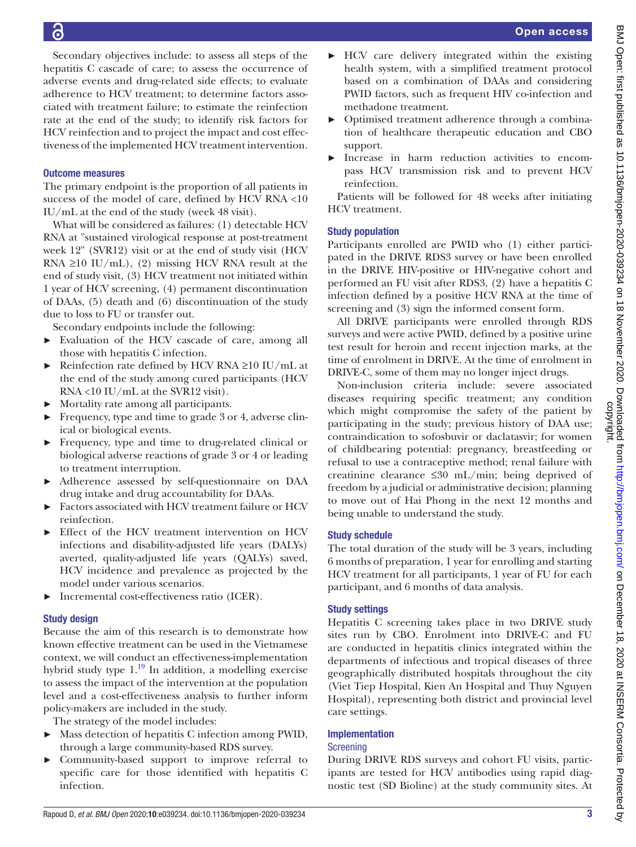Õ

Secondary objectives include: to assess all steps of the hepatitis C cascade of care; to assess the occurrence of adverse events and drug-related side effects; to evaluate adherence to HCV treatment; to determine factors associated with treatment failure; to estimate the reinfection rate at the end of the study; to identify risk factors for HCV reinfection and to project the impact and cost effectiveness of the implemented HCV treatment intervention.

# Outcome measures

The primary endpoint is the proportion of all patients in success of the model of care, defined by HCV RNA <10 IU/mL at the end of the study (week 48 visit).

What will be considered as failures: (1) detectable HCV RNA at "sustained virological response at post-treatment week 12" (SVR12) visit or at the end of study visit (HCV RNA ≥10 IU/mL), (2) missing HCV RNA result at the end of study visit, (3) HCV treatment not initiated within 1 year of HCV screening, (4) permanent discontinuation of DAAs, (5) death and (6) discontinuation of the study due to loss to FU or transfer out.

Secondary endpoints include the following:

- ► Evaluation of the HCV cascade of care, among all those with hepatitis C infection.
- ► Reinfection rate defined by HCV RNA  $\geq$ 10 IU/mL at the end of the study among cured participants (HCV RNA <10 IU/mL at the SVR12 visit).
- ► Mortality rate among all participants.
- ► Frequency, type and time to grade 3 or 4, adverse clinical or biological events.
- ► Frequency, type and time to drug-related clinical or biological adverse reactions of grade 3 or 4 or leading to treatment interruption.
- ► Adherence assessed by self-questionnaire on DAA drug intake and drug accountability for DAAs.
- ► Factors associated with HCV treatment failure or HCV reinfection.
- Effect of the HCV treatment intervention on HCV infections and disability-adjusted life years (DALYs) averted, quality-adjusted life years (QALYs) saved, HCV incidence and prevalence as projected by the model under various scenarios.
- ► Incremental cost-effectiveness ratio (ICER).

### Study design

Because the aim of this research is to demonstrate how known effective treatment can be used in the Vietnamese context, we will conduct an effectiveness-implementation hybrid study type  $1.^{19}$  In addition, a modelling exercise to assess the impact of the intervention at the population level and a cost-effectiveness analysis to further inform policy-makers are included in the study.

The strategy of the model includes:

- ► Mass detection of hepatitis C infection among PWID, through a large community-based RDS survey.
- ► Community-based support to improve referral to specific care for those identified with hepatitis C infection.
- ► HCV care delivery integrated within the existing health system, with a simplified treatment protocol based on a combination of DAAs and considering PWID factors, such as frequent HIV co-infection and methadone treatment.
- ► Optimised treatment adherence through a combination of healthcare therapeutic education and CBO support.
- Increase in harm reduction activities to encompass HCV transmission risk and to prevent HCV reinfection.

Patients will be followed for 48 weeks after initiating HCV treatment.

# Study population

Participants enrolled are PWID who (1) either participated in the DRIVE RDS3 survey or have been enrolled in the DRIVE HIV-positive or HIV-negative cohort and performed an FU visit after RDS3, (2) have a hepatitis C infection defined by a positive HCV RNA at the time of screening and (3) sign the informed consent form.

All DRIVE participants were enrolled through RDS surveys and were active PWID, defined by a positive urine test result for heroin and recent injection marks, at the time of enrolment in DRIVE. At the time of enrolment in DRIVE-C, some of them may no longer inject drugs.

Non-inclusion criteria include: severe associated diseases requiring specific treatment; any condition which might compromise the safety of the patient by participating in the study; previous history of DAA use; contraindication to sofosbuvir or daclatasvir; for women of childbearing potential: pregnancy, breastfeeding or refusal to use a contraceptive method; renal failure with creatinine clearance ≤30 mL/min; being deprived of freedom by a judicial or administrative decision; planning to move out of Hai Phong in the next 12 months and being unable to understand the study.

### Study schedule

The total duration of the study will be 3 years, including 6 months of preparation, 1 year for enrolling and starting HCV treatment for all participants, 1 year of FU for each participant, and 6 months of data analysis.

# Study settings

Hepatitis C screening takes place in two DRIVE study sites run by CBO. Enrolment into DRIVE-C and FU are conducted in hepatitis clinics integrated within the departments of infectious and tropical diseases of three geographically distributed hospitals throughout the city (Viet Tiep Hospital, Kien An Hospital and Thuy Nguyen Hospital), representing both district and provincial level care settings.

# Implementation

# **Screening**

During DRIVE RDS surveys and cohort FU visits, participants are tested for HCV antibodies using rapid diagnostic test (SD Bioline) at the study community sites. At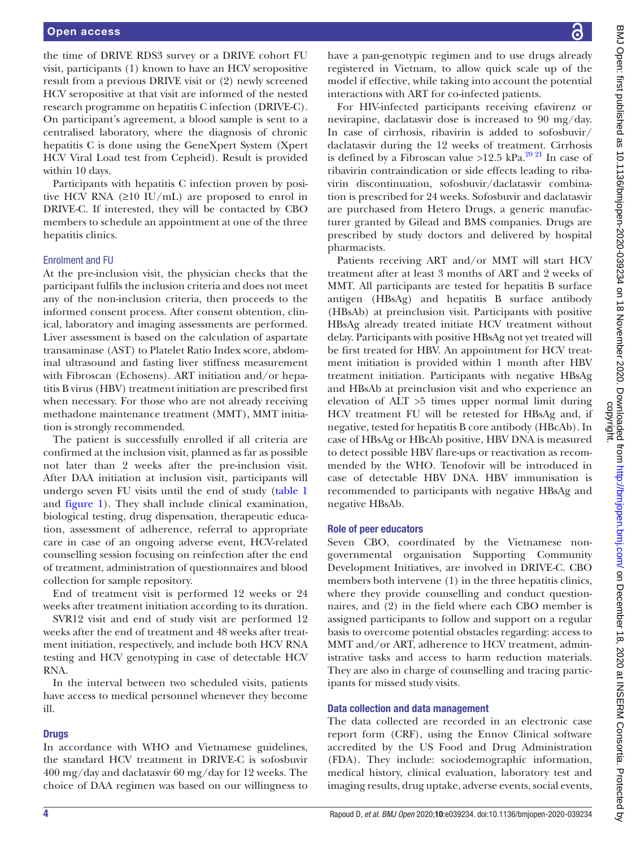the time of DRIVE RDS3 survey or a DRIVE cohort FU visit, participants (1) known to have an HCV seropositive result from a previous DRIVE visit or (2) newly screened HCV seropositive at that visit are informed of the nested research programme on hepatitis C infection (DRIVE-C). On participant's agreement, a blood sample is sent to a centralised laboratory, where the diagnosis of chronic hepatitis C is done using the GeneXpert System (Xpert HCV Viral Load test from Cepheid). Result is provided within 10 days.

Participants with hepatitis C infection proven by positive HCV RNA  $(210 \text{ IU/mL})$  are proposed to enrol in DRIVE-C. If interested, they will be contacted by CBO members to schedule an appointment at one of the three hepatitis clinics.

#### Enrolment and FU

At the pre-inclusion visit, the physician checks that the participant fulfils the inclusion criteria and does not meet any of the non-inclusion criteria, then proceeds to the informed consent process. After consent obtention, clinical, laboratory and imaging assessments are performed. Liver assessment is based on the calculation of aspartate transaminase (AST) to Platelet Ratio Index score, abdominal ultrasound and fasting liver stiffness measurement with Fibroscan (Echosens). ART initiation and/or hepatitis B virus (HBV) treatment initiation are prescribed first when necessary. For those who are not already receiving methadone maintenance treatment (MMT), MMT initiation is strongly recommended.

The patient is successfully enrolled if all criteria are confirmed at the inclusion visit, planned as far as possible not later than 2 weeks after the pre-inclusion visit. After DAA initiation at inclusion visit, participants will undergo seven FU visits until the end of study ([table](#page-4-0) 1 and [figure](#page-7-0) 1). They shall include clinical examination, biological testing, drug dispensation, therapeutic education, assessment of adherence, referral to appropriate care in case of an ongoing adverse event, HCV-related counselling session focusing on reinfection after the end of treatment, administration of questionnaires and blood collection for sample repository.

End of treatment visit is performed 12 weeks or 24 weeks after treatment initiation according to its duration.

SVR12 visit and end of study visit are performed 12 weeks after the end of treatment and 48 weeks after treatment initiation, respectively, and include both HCV RNA testing and HCV genotyping in case of detectable HCV RNA.

In the interval between two scheduled visits, patients have access to medical personnel whenever they become ill.

#### **Drugs**

In accordance with WHO and Vietnamese guidelines, the standard HCV treatment in DRIVE-C is sofosbuvir 400 mg/day and daclatasvir 60 mg/day for 12 weeks. The choice of DAA regimen was based on our willingness to

have a pan-genotypic regimen and to use drugs already registered in Vietnam, to allow quick scale up of the model if effective, while taking into account the potential interactions with ART for co-infected patients.

For HIV-infected participants receiving efavirenz or nevirapine, daclatasvir dose is increased to 90 mg/day. In case of cirrhosis, ribavirin is added to sofosbuvir/ daclatasvir during the 12 weeks of treatment. Cirrhosis is defined by a Fibroscan value >12.5 kPa. $^{20\,21}$  In case of ribavirin contraindication or side effects leading to ribavirin discontinuation, sofosbuvir/daclatasvir combination is prescribed for 24 weeks. Sofosbuvir and daclatasvir are purchased from Hetero Drugs, a generic manufacturer granted by Gilead and BMS companies. Drugs are prescribed by study doctors and delivered by hospital pharmacists.

Patients receiving ART and/or MMT will start HCV treatment after at least 3 months of ART and 2 weeks of MMT. All participants are tested for hepatitis B surface antigen (HBsAg) and hepatitis B surface antibody (HBsAb) at preinclusion visit. Participants with positive HBsAg already treated initiate HCV treatment without delay. Participants with positive HBsAg not yet treated will be first treated for HBV. An appointment for HCV treatment initiation is provided within 1 month after HBV treatment initiation. Participants with negative HBsAg and HBsAb at preinclusion visit and who experience an elevation of ALT >5 times upper normal limit during HCV treatment FU will be retested for HBsAg and, if negative, tested for hepatitis B core antibody (HBcAb). In case of HBsAg or HBcAb positive, HBV DNA is measured to detect possible HBV flare-ups or reactivation as recommended by the WHO. Tenofovir will be introduced in case of detectable HBV DNA. HBV immunisation is recommended to participants with negative HBsAg and negative HBsAb.

#### Role of peer educators

Seven CBO, coordinated by the Vietnamese nongovernmental organisation Supporting Community Development Initiatives, are involved in DRIVE-C. CBO members both intervene (1) in the three hepatitis clinics, where they provide counselling and conduct questionnaires, and (2) in the field where each CBO member is assigned participants to follow and support on a regular basis to overcome potential obstacles regarding: access to MMT and/or ART, adherence to HCV treatment, administrative tasks and access to harm reduction materials. They are also in charge of counselling and tracing participants for missed study visits.

#### Data collection and data management

The data collected are recorded in an electronic case report form (CRF), using the Ennov Clinical software accredited by the US Food and Drug Administration (FDA). They include: sociodemographic information, medical history, clinical evaluation, laboratory test and imaging results, drug uptake, adverse events, social events,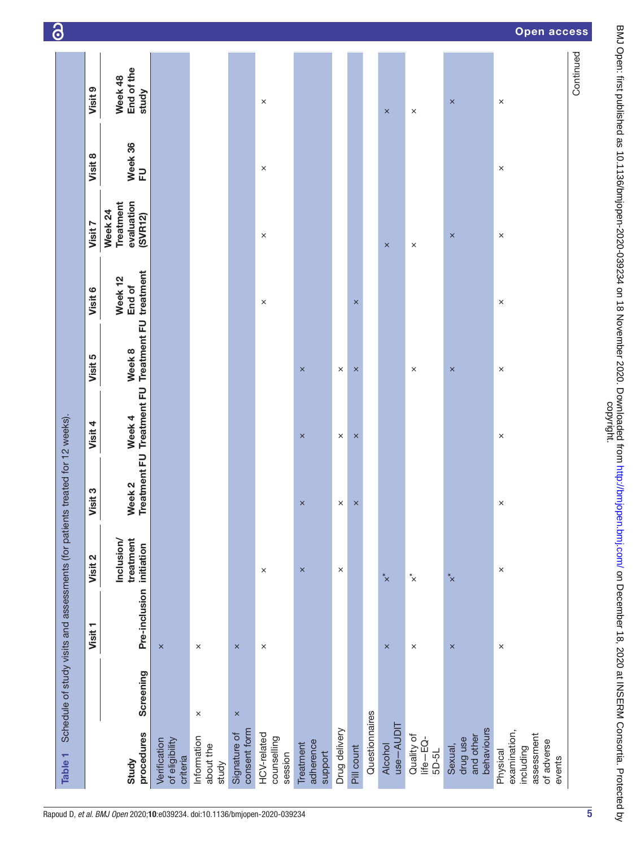| Table 1                                                                     |           | Schedule of study visits and assessments (for patien |                                       | its treated for 12 weeks). |                                     |                                             |                              |                                                      |                           |                                |
|-----------------------------------------------------------------------------|-----------|------------------------------------------------------|---------------------------------------|----------------------------|-------------------------------------|---------------------------------------------|------------------------------|------------------------------------------------------|---------------------------|--------------------------------|
|                                                                             |           | Visit 1                                              | Visit 2                               | Visit 3                    | Visit 4                             | Visit 5                                     | Visit 6                      | Visit 7                                              | Visit 8                   | Visit 9                        |
| procedures<br>Study                                                         | Screening | Pre-inclusion                                        | treatment<br>Inclusion/<br>initiation | Week <sub>2</sub>          | Treatment FU Treatment FU<br>Week 4 | Treatment FU treatment<br>Week <sub>8</sub> | Week <sub>12</sub><br>End of | evaluation<br><b>Treatment</b><br>Week 24<br>(SVR12) | Week 36<br>$\overline{E}$ | End of the<br>Week 48<br>study |
| of eligibility<br>Verification<br>criteria                                  |           | $\boldsymbol{\times}$                                |                                       |                            |                                     |                                             |                              |                                                      |                           |                                |
| Information<br>about the<br>study                                           | $\times$  | $\times$                                             |                                       |                            |                                     |                                             |                              |                                                      |                           |                                |
| consent form<br>Signature of                                                | $\times$  | $\times$                                             |                                       |                            |                                     |                                             |                              |                                                      |                           |                                |
| HCV-related<br>counselling<br>session                                       |           | $\times$                                             | $\times$                              |                            |                                     |                                             | $\times$                     | $\times$                                             | $\times$                  | $\times$                       |
| adherence<br>Treatment<br>support                                           |           |                                                      | $\times$                              | $\pmb{\times}$             | $\times$                            | $\times$                                    |                              |                                                      |                           |                                |
| Drug delivery                                                               |           |                                                      | $\times$                              | $\times$                   | $\times$                            | $\times$                                    |                              |                                                      |                           |                                |
| Pill count                                                                  |           |                                                      |                                       | $\times$                   | ×                                   | $\boldsymbol{\times}$                       | $\times$                     |                                                      |                           |                                |
| Questionnaires                                                              |           |                                                      |                                       |                            |                                     |                                             |                              |                                                      |                           |                                |
| use-AUDIT<br>Alcohol                                                        |           | $\pmb{\times}$                                       | $\mathbf{\mathsf{x}}^\ast$            |                            |                                     |                                             |                              | $\times$                                             |                           | $\times$                       |
| Quality of<br>life- $EG-$<br>$5D-5L$                                        |           | $\times$                                             | $\mathbf{X}^*$                        |                            |                                     | $\times$                                    |                              | $\times$                                             |                           | $\times$                       |
| behaviours<br>and other<br>drug use<br>Sexual,                              |           | $\times$                                             | $\mathbf{\mathsf{x}}^{\star}$         |                            |                                     | $\pmb{\times}$                              |                              | $\times$                                             |                           | $\times$                       |
| examination,<br>assessment<br>of adverse<br>including<br>Physical<br>events |           | $\times$                                             | $\times$                              | $\times$                   | $\times$                            | $\times$                                    | $\times$                     | $\times$                                             | $\times$                  | $\times$                       |
|                                                                             |           |                                                      |                                       |                            |                                     |                                             |                              |                                                      |                           | Continued                      |

<span id="page-4-0"></span>5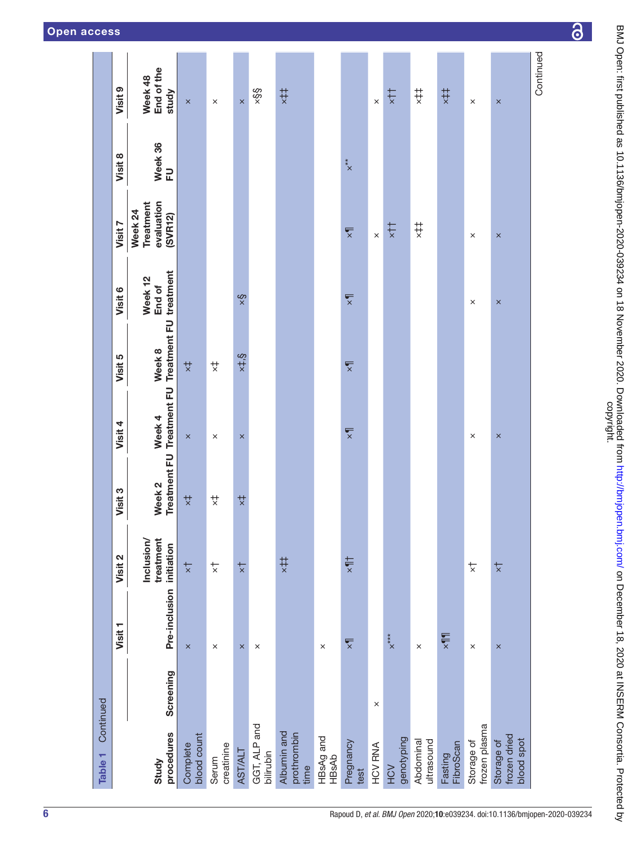| Continued<br>Table 1                     |           |                           |                              |                                    |                                     |                                      |                                                        |                                                      |              |                                  |
|------------------------------------------|-----------|---------------------------|------------------------------|------------------------------------|-------------------------------------|--------------------------------------|--------------------------------------------------------|------------------------------------------------------|--------------|----------------------------------|
|                                          |           | Visit 1                   | Visit 2                      | Visit 3                            | Visit 4                             | Visit 5                              | Visit 6                                                | Visit 7                                              | Visit 8      | Visit 9                          |
| procedures<br>Study                      | Screening | Pre-inclusion initiation  | treatment<br>Inclusion/      | Week <sub>2</sub>                  | Treatment FU Treatment FU<br>Week 4 | Week <sub>8</sub>                    | Treatment FU treatment<br>Week <sub>12</sub><br>End of | evaluation<br><b>Treatment</b><br>Week 24<br>(SVR12) | Week 36<br>군 | Week 48<br>End of the<br>study   |
| Complete<br>blood count                  |           | $\times$                  | $\overleftarrow{\mathbf{x}}$ | $\stackrel{\textstyle{+}}{\times}$ | $\times$                            | $\overline{\star}$                   |                                                        |                                                      |              | $\times$                         |
| creatinine<br>Serum                      |           | $\times$                  | $\overleftarrow{\mathbf{x}}$ | $\overline{\mathbf{x}}$            | $\times$                            | $\overline{\mathbf{x}}$              |                                                        |                                                      |              | $\times$                         |
| <b>AST/ALT</b>                           |           | $\times$                  | $\frac{1}{x}$                | $rac{1}{x}$                        | $\times$                            | $x + 8$                              | $\frac{8}{x}$                                          |                                                      |              | $\times$                         |
| GGT, ALP and<br>bilirubin                |           | $\times$                  |                              |                                    |                                     |                                      |                                                        |                                                      |              | $\times\S\S$                     |
| Albumin and<br>prothrombin<br>time       |           |                           | $\sharp$                     |                                    |                                     |                                      |                                                        |                                                      |              | $\sharp$                         |
| HBsAg and<br>HBsAb                       |           | $\times$                  |                              |                                    |                                     |                                      |                                                        |                                                      |              |                                  |
| Pregnancy<br>test                        |           | $\overline{\overline{x}}$ | $\times$ ¶                   |                                    | $\overline{\overline{x}}$           | $\overline{\overline{\overline{x}}}$ | $\overline{\overline{\overline{x}}}$                   | $\overline{\overline{\overline{x}}}$                 | $x^*$        |                                  |
| HCV RNA                                  | $\times$  |                           |                              |                                    |                                     |                                      |                                                        | $\times$                                             |              | $\times$                         |
| genotyping<br>HCV                        |           | $x^{***}$                 |                              |                                    |                                     |                                      |                                                        | $\overline{+1}$                                      |              | $\times$                         |
| Abdominal<br>ultrasound                  |           | $\times$                  |                              |                                    |                                     |                                      |                                                        | $\ddagger$                                           |              | $\stackrel{++}{\leftrightarrow}$ |
| Fasting<br>FibroScan                     |           | $M \times 10^{11}$        |                              |                                    |                                     |                                      |                                                        |                                                      |              | $\overline{1}$                   |
| frozen plasma<br>Storage of              |           | $\times$                  | $\overleftarrow{\mathbf{x}}$ |                                    | ×                                   |                                      | $\times$                                               | $\times$                                             |              | $\times$                         |
| frozen dried<br>blood spot<br>Storage of |           | $\boldsymbol{\times}$     | $\overline{\mathbf{x}}$      |                                    | ×                                   |                                      | $\times$                                               | $\pmb{\times}$                                       |              | $\boldsymbol{\times}$            |
|                                          |           |                           |                              |                                    |                                     |                                      |                                                        |                                                      |              | Continued                        |

3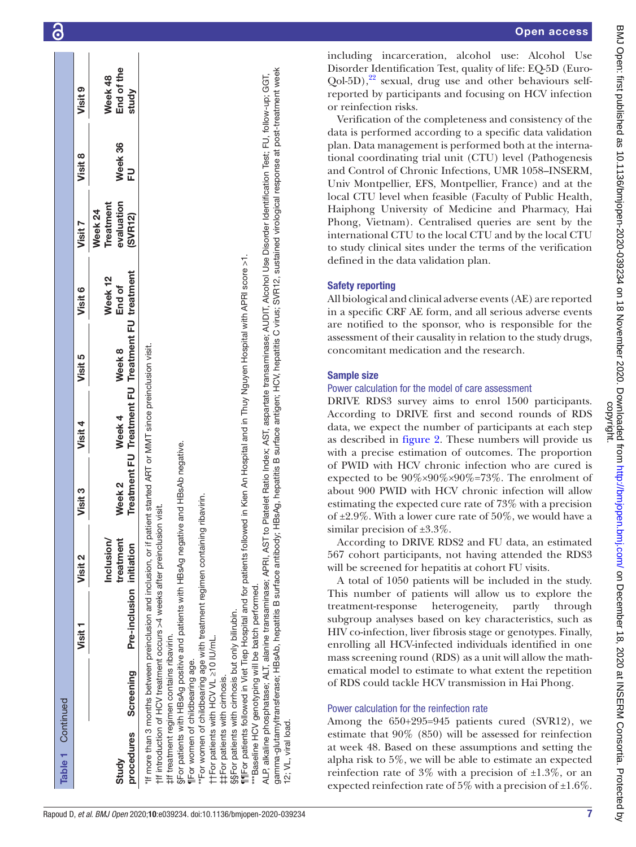| Table 1 Continued                                                                                                                                                                                                                                                                                                                                                                                                                                                                                                                                                                                                                                                                                                                                                                                                                                                                                                                                                                                      |           |                          |                         |                                                                                                                                                                                                                                |         |                                                                       |                              |                                                      |              |                                |
|--------------------------------------------------------------------------------------------------------------------------------------------------------------------------------------------------------------------------------------------------------------------------------------------------------------------------------------------------------------------------------------------------------------------------------------------------------------------------------------------------------------------------------------------------------------------------------------------------------------------------------------------------------------------------------------------------------------------------------------------------------------------------------------------------------------------------------------------------------------------------------------------------------------------------------------------------------------------------------------------------------|-----------|--------------------------|-------------------------|--------------------------------------------------------------------------------------------------------------------------------------------------------------------------------------------------------------------------------|---------|-----------------------------------------------------------------------|------------------------------|------------------------------------------------------|--------------|--------------------------------|
|                                                                                                                                                                                                                                                                                                                                                                                                                                                                                                                                                                                                                                                                                                                                                                                                                                                                                                                                                                                                        |           | Visit 1                  | Visit 2                 | Visit 3                                                                                                                                                                                                                        | Visit 4 | Visit 5                                                               | Visit 6                      | Visit 7                                              | Visit 8      | Visit 9                        |
| procedures<br>Study                                                                                                                                                                                                                                                                                                                                                                                                                                                                                                                                                                                                                                                                                                                                                                                                                                                                                                                                                                                    | Screening | Pre-inclusion initiation | treatment<br>Inclusion/ | Week <sub>2</sub>                                                                                                                                                                                                              | Week 4  | Treatment FU Treatment FU Treatment FU treatment<br>Week <sub>8</sub> | Week <sub>12</sub><br>End of | evaluation<br>Treatment<br><b>Week 24</b><br>(SVR12) | Week 36<br>己 | End of the<br>Week 48<br>study |
| gamma-glutamyltransferase; HBsAb, hepatitis B surface antibody; HBsAg, hepatitis B surface antigen; HCV, hepatitis C virus; SVR12, sustained virological response at post-treatment week<br>"If more than 3 months between preinclusion and inclusion, or if patient started ART or MMT since preinclusion visit.<br>*For women of childbearing age with treatment regimen containing ribavirin.<br>11 For patients followed in Viet Tiep Hospital and for patients followed<br>ALP, alkaline phosphatase; ALT, alanine transaminase; APRI, AST to P<br>SFor patients with HBsAg positive and patients with HBsAg negative<br>†If introduction of HCV treatment occurs >4 weeks after preinclusion<br>**Baseline HCV genotyping will be batch performed.<br>SSFor patients with cirrhosis but only bilirubin.<br>#If treatment regimen contains ribavirin.<br>††For patients with HCV VL ≥10 IU/mL.<br>TFor women of childbearing age.<br><b>‡‡For patients with cirrhosis.</b><br>12; VL, viral load. |           |                          |                         | latelet Ratio Index; AST, aspartate transaminase; AUDIT, Alcohol Use Disorder Identification Test; FU, follow-up; GGT,<br>in Kien An Hospital and in Thuy Nguyen Hospital with APRI score >1.<br>and HBsAb negative.<br>visit. |         |                                                                       |                              |                                                      |              |                                |

including incarceration, alcohol use: Alcohol Use Disorder Identification Test, quality of life: EQ-5D (Euro -  $\text{Col-5D}$ ,  $^{22}$  sexual, drug use and other behaviours selfreported by participants and focusing on HCV infection or reinfection risks.

Verification of the completeness and consistency of the data is performed according to a specific data validation plan. Data management is performed both at the international coordinating trial unit (CTU) level (Pathogenesis and Control of Chronic Infections, UMR 1058–INSERM, Univ Montpellier, EFS, Montpellier, France) and at the local CTU level when feasible (Faculty of Public Health, Haiphong University of Medicine and Pharmacy, Hai Phong, Vietnam). Centralised queries are sent by the international CTU to the local CTU and by the local CTU to study clinical sites under the terms of the verification defined in the data validation plan.

# Safety reporting

All biological and clinical adverse events (AE) are reported in a specific CRF AE form, and all serious adverse events are notified to the sponsor, who is responsible for the assessment of their causality in relation to the study drugs, concomitant medication and the research.

# Sample size

# Power calculation for the model of care assessment

DRIVE RDS3 survey aims to enrol 1500 participants. According to DRIVE first and second rounds of RDS data, we expect the number of participants at each step as described in [figure](#page-7-1) 2. These numbers will provide us with a precise estimation of outcomes. The proportion of PWID with HCV chronic infection who are cured is expected to be 90%×90%×90%=73%. The enrolment of about 900 PWID with HCV chronic infection will allow estimating the expected cure rate of 73% with a precision of  $\pm 2.9\%$ . With a lower cure rate of 50%, we would have a similar precision of ±3.3%.

According to DRIVE RDS2 and FU data, an estimated 567 cohort participants, not having attended the RDS3 will be screened for hepatitis at cohort FU visits.

A total of 1050 patients will be included in the study. This number of patients will allow us to explore the treatment-response heterogeneity, partly through subgroup analyses based on key characteristics, such as HIV co-infection, liver fibrosis stage or genotypes. Finally, enrolling all HCV-infected individuals identified in one mass screening round (RDS) as a unit will allow the math ematical model to estimate to what extent the repetition of RDS could tackle HCV transmission in Hai Phong.

# Power calculation for the reinfection rate

Among the 650+295=945 patients cured (SVR12), we estimate that 90% (850) will be assessed for reinfection at week 48. Based on these assumptions and setting the alpha risk to 5%, we will be able to estimate an expected reinfection rate of 3% with a precision of  $\pm 1.3$ %, or an expected reinfection rate of 5% with a precision of  $\pm 1.6\%$ .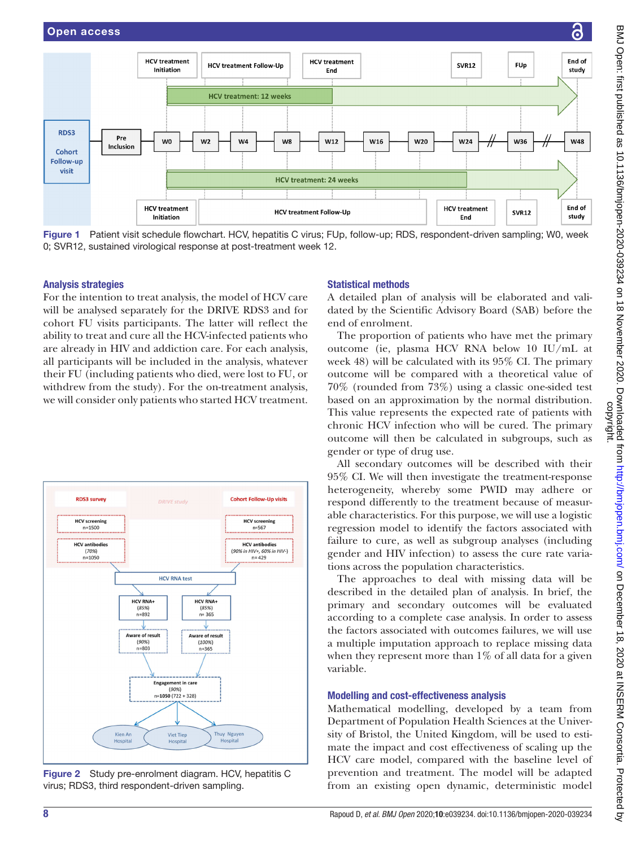RDS3

<span id="page-7-0"></span>Cohort Follow-up visit

**FUp** 

W36

**SVR12** 

End of

study

W48

End of

study



For the intention to treat analysis, the model of HCV care will be analysed separately for the DRIVE RDS3 and for cohort FU visits participants. The latter will reflect the ability to treat and cure all the HCV-infected patients who are already in HIV and addiction care. For each analysis, all participants will be included in the analysis, whatever their FU (including patients who died, were lost to FU, or withdrew from the study). For the on-treatment analysis, we will consider only patients who started HCV treatment.



<span id="page-7-1"></span>Figure 2 Study pre-enrolment diagram. HCV, hepatitis C virus; RDS3, third respondent-driven sampling.

A detailed plan of analysis will be elaborated and validated by the Scientific Advisory Board (SAB) before the end of enrolment.

The proportion of patients who have met the primary outcome (ie, plasma HCV RNA below 10 IU/mL at week 48) will be calculated with its 95% CI. The primary outcome will be compared with a theoretical value of 70% (rounded from 73%) using a classic one-sided test based on an approximation by the normal distribution. This value represents the expected rate of patients with chronic HCV infection who will be cured. The primary outcome will then be calculated in subgroups, such as gender or type of drug use.

All secondary outcomes will be described with their 95% CI. We will then investigate the treatment-response heterogeneity, whereby some PWID may adhere or respond differently to the treatment because of measurable characteristics. For this purpose, we will use a logistic regression model to identify the factors associated with failure to cure, as well as subgroup analyses (including gender and HIV infection) to assess the cure rate variations across the population characteristics.

The approaches to deal with missing data will be described in the detailed plan of analysis. In brief, the primary and secondary outcomes will be evaluated according to a complete case analysis. In order to assess the factors associated with outcomes failures, we will use a multiple imputation approach to replace missing data when they represent more than 1% of all data for a given variable.

# Modelling and cost-effectiveness analysis

Mathematical modelling, developed by a team from Department of Population Health Sciences at the University of Bristol, the United Kingdom, will be used to estimate the impact and cost effectiveness of scaling up the HCV care model, compared with the baseline level of prevention and treatment. The model will be adapted from an existing open dynamic, deterministic model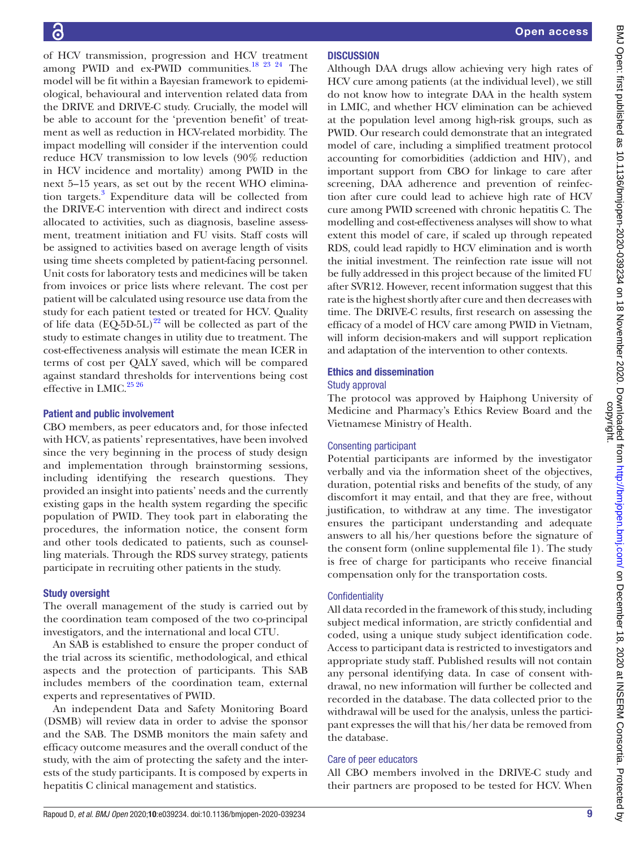of HCV transmission, progression and HCV treatment among PWID and ex-PWID communities.[18 23 24](#page-10-0) The model will be fit within a Bayesian framework to epidemiological, behavioural and intervention related data from the DRIVE and DRIVE-C study. Crucially, the model will be able to account for the 'prevention benefit' of treatment as well as reduction in HCV-related morbidity. The impact modelling will consider if the intervention could reduce HCV transmission to low levels (90% reduction in HCV incidence and mortality) among PWID in the next 5–15 years, as set out by the recent WHO elimina-tion targets.<sup>[3](#page-9-2)</sup> Expenditure data will be collected from the DRIVE-C intervention with direct and indirect costs allocated to activities, such as diagnosis, baseline assessment, treatment initiation and FU visits. Staff costs will be assigned to activities based on average length of visits using time sheets completed by patient-facing personnel. Unit costs for laboratory tests and medicines will be taken from invoices or price lists where relevant. The cost per patient will be calculated using resource use data from the study for each patient tested or treated for HCV. Quality of life data  $(EQ-5D-5L)^{22}$  will be collected as part of the study to estimate changes in utility due to treatment. The cost-effectiveness analysis will estimate the mean ICER in terms of cost per QALY saved, which will be compared against standard thresholds for interventions being cost effective in LMIC.<sup>25</sup><sup>26</sup>

#### Patient and public involvement

CBO members, as peer educators and, for those infected with HCV, as patients' representatives, have been involved since the very beginning in the process of study design and implementation through brainstorming sessions, including identifying the research questions. They provided an insight into patients' needs and the currently existing gaps in the health system regarding the specific population of PWID. They took part in elaborating the procedures, the information notice, the consent form and other tools dedicated to patients, such as counselling materials. Through the RDS survey strategy, patients participate in recruiting other patients in the study.

### Study oversight

The overall management of the study is carried out by the coordination team composed of the two co-principal investigators, and the international and local CTU.

An SAB is established to ensure the proper conduct of the trial across its scientific, methodological, and ethical aspects and the protection of participants. This SAB includes members of the coordination team, external experts and representatives of PWID.

An independent Data and Safety Monitoring Board (DSMB) will review data in order to advise the sponsor and the SAB. The DSMB monitors the main safety and efficacy outcome measures and the overall conduct of the study, with the aim of protecting the safety and the interests of the study participants. It is composed by experts in hepatitis C clinical management and statistics.

# **DISCUSSION**

Although DAA drugs allow achieving very high rates of HCV cure among patients (at the individual level), we still do not know how to integrate DAA in the health system in LMIC, and whether HCV elimination can be achieved at the population level among high-risk groups, such as PWID. Our research could demonstrate that an integrated model of care, including a simplified treatment protocol accounting for comorbidities (addiction and HIV), and important support from CBO for linkage to care after screening, DAA adherence and prevention of reinfection after cure could lead to achieve high rate of HCV cure among PWID screened with chronic hepatitis C. The modelling and cost-effectiveness analyses will show to what extent this model of care, if scaled up through repeated RDS, could lead rapidly to HCV elimination and is worth the initial investment. The reinfection rate issue will not be fully addressed in this project because of the limited FU after SVR12. However, recent information suggest that this rate is the highest shortly after cure and then decreases with time. The DRIVE-C results, first research on assessing the efficacy of a model of HCV care among PWID in Vietnam, will inform decision-makers and will support replication and adaptation of the intervention to other contexts.

### Ethics and dissemination

#### Study approval

The protocol was approved by Haiphong University of Medicine and Pharmacy's Ethics Review Board and the Vietnamese Ministry of Health.

### Consenting participant

Potential participants are informed by the investigator verbally and via the information sheet of the objectives, duration, potential risks and benefits of the study, of any discomfort it may entail, and that they are free, without justification, to withdraw at any time. The investigator ensures the participant understanding and adequate answers to all his/her questions before the signature of the consent form [\(online supplemental file 1\)](https://dx.doi.org/10.1136/bmjopen-2020-039234). The study is free of charge for participants who receive financial compensation only for the transportation costs.

### **Confidentiality**

All data recorded in the framework of this study, including subject medical information, are strictly confidential and coded, using a unique study subject identification code. Access to participant data is restricted to investigators and appropriate study staff. Published results will not contain any personal identifying data. In case of consent withdrawal, no new information will further be collected and recorded in the database. The data collected prior to the withdrawal will be used for the analysis, unless the participant expresses the will that his/her data be removed from the database.

### Care of peer educators

All CBO members involved in the DRIVE-C study and their partners are proposed to be tested for HCV. When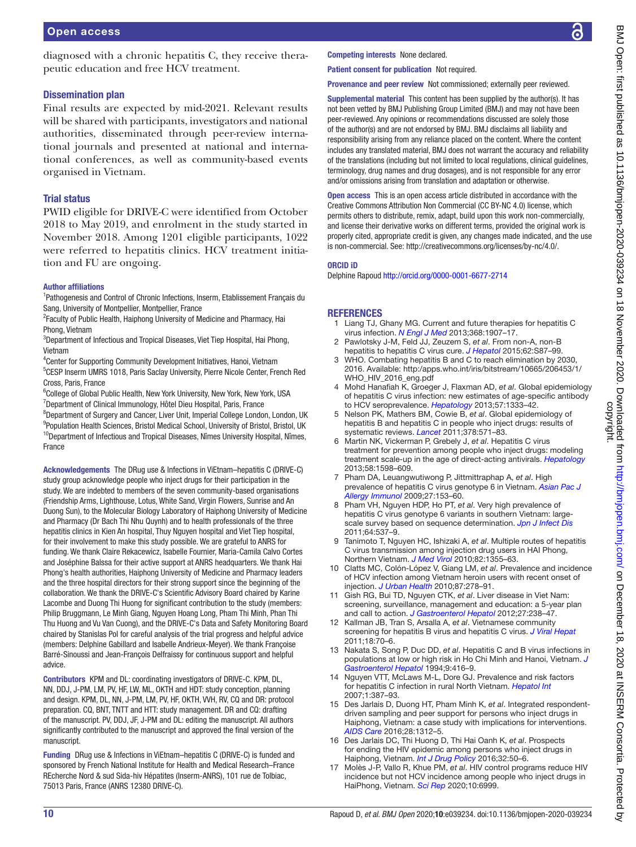diagnosed with a chronic hepatitis C, they receive therapeutic education and free HCV treatment.

#### Dissemination plan

Final results are expected by mid-2021. Relevant results will be shared with participants, investigators and national authorities, disseminated through peer-review international journals and presented at national and international conferences, as well as community-based events organised in Vietnam.

#### Trial status

PWID eligible for DRIVE-C were identified from October 2018 to May 2019, and enrolment in the study started in November 2018. Among 1201 eligible participants, 1022 were referred to hepatitis clinics. HCV treatment initiation and FU are ongoing.

#### Author affiliations

France

<sup>1</sup>Pathogenesis and Control of Chronic Infections, Inserm, Etablissement Français du Sang, University of Montpellier, Montpellier, France

<sup>2</sup> Faculty of Public Health, Haiphong University of Medicine and Pharmacy, Hai Phong, Vietnam

<sup>3</sup>Department of Infectious and Tropical Diseases, Viet Tiep Hospital, Hai Phong, Vietnam

4 Center for Supporting Community Development Initiatives, Hanoi, Vietnam

5 CESP Inserm UMRS 1018, Paris Saclay University, Pierre Nicole Center, French Red Cross, Paris, France

<sup>6</sup>College of Global Public Health, New York University, New York, New York, USA <sup>7</sup>Department of Clinical Immunology, Hôtel Dieu Hospital, Paris, France

<sup>8</sup>Department of Surgery and Cancer, Liver Unit, Imperial College London, London, UK <sup>9</sup>Population Health Sciences, Bristol Medical School, University of Bristol, Bristol, UK <sup>10</sup>Department of Infectious and Tropical Diseases, Nîmes University Hospital, Nîmes,

Acknowledgements The DRug use & Infections in ViEtnam–hepatitis C (DRIVE-C) study group acknowledge people who inject drugs for their participation in the study. We are indebted to members of the seven community-based organisations (Friendship Arms, Lighthouse, Lotus, White Sand, Virgin Flowers, Sunrise and An Duong Sun), to the Molecular Biology Laboratory of Haiphong University of Medicine and Pharmacy (Dr Bach Thi Nhu Quynh) and to health professionals of the three hepatitis clinics in Kien An hospital, Thuy Nguyen hospital and Viet Tiep hospital, for their involvement to make this study possible. We are grateful to ANRS for funding. We thank Claire Rekacewicz, Isabelle Fournier, Maria-Camila Calvo Cortes and Joséphine Balssa for their active support at ANRS headquarters. We thank Hai Phong's health authorities, Haiphong University of Medicine and Pharmacy leaders and the three hospital directors for their strong support since the beginning of the collaboration. We thank the DRIVE-C's Scientific Advisory Board chaired by Karine Lacombe and Duong Thi Huong for significant contribution to the study (members: Philip Bruggmann, Le Minh Giang, Nguyen Hoang Long, Pham Thi Minh, Phan Thi Thu Huong and Vu Van Cuong), and the DRIVE-C's Data and Safety Monitoring Board chaired by Stanislas Pol for careful analysis of the trial progress and helpful advice (members: Delphine Gabillard and Isabelle Andrieux-Meyer). We thank Françoise Barré-Sinoussi and Jean-François Delfraissy for continuous support and helpful advice.

Contributors KPM and DL: coordinating investigators of DRIVE-C. KPM, DL, NN, DDJ, J-PM, LM, PV, HF, LW, ML, OKTH and HDT: study conception, planning and design. KPM, DL, NN, J-PM, LM, PV, HF, OKTH, VVH, RV, CQ and DR: protocol preparation. CQ, BNT, TNTT and HTT: study management. DR and CQ: drafting of the manuscript. PV, DDJ, JF, J-PM and DL: editing the manuscript. All authors significantly contributed to the manuscript and approved the final version of the manuscript.

Funding DRug use & Infections in ViEtnam–hepatitis C (DRIVE-C) is funded and sponsored by French National Institute for Health and Medical Research–France REcherche Nord & sud Sida-hiv Hépatites (Inserm-ANRS), 101 rue de Tolbiac, 75013 Paris, France (ANRS 12380 DRIVE-C).

#### Competing interests None declared.

Patient consent for publication Not required.

Provenance and peer review Not commissioned; externally peer reviewed.

Supplemental material This content has been supplied by the author(s). It has not been vetted by BMJ Publishing Group Limited (BMJ) and may not have been peer-reviewed. Any opinions or recommendations discussed are solely those of the author(s) and are not endorsed by BMJ. BMJ disclaims all liability and responsibility arising from any reliance placed on the content. Where the content includes any translated material, BMJ does not warrant the accuracy and reliability of the translations (including but not limited to local regulations, clinical guidelines, terminology, drug names and drug dosages), and is not responsible for any error and/or omissions arising from translation and adaptation or otherwise.

Open access This is an open access article distributed in accordance with the Creative Commons Attribution Non Commercial (CC BY-NC 4.0) license, which permits others to distribute, remix, adapt, build upon this work non-commercially, and license their derivative works on different terms, provided the original work is properly cited, appropriate credit is given, any changes made indicated, and the use is non-commercial. See: [http://creativecommons.org/licenses/by-nc/4.0/.](http://creativecommons.org/licenses/by-nc/4.0/)

#### ORCID iD

Delphine Rapoud<http://orcid.org/0000-0001-6677-2714>

### REFERENCES

- <span id="page-9-0"></span>Liang TJ, Ghany MG. Current and future therapies for hepatitis C virus infection. *[N Engl J Med](http://dx.doi.org/10.1056/NEJMra1213651)* 2013;368:1907–17.
- <span id="page-9-1"></span>2 Pawlotsky J-M, Feld JJ, Zeuzem S, *et al*. From non-A, non-B hepatitis to hepatitis C virus cure. *[J Hepatol](http://dx.doi.org/10.1016/j.jhep.2015.02.006)* 2015;62:S87–99.
- <span id="page-9-2"></span>3 WHO. Combating hepatitis B and C to reach elimination by 2030, 2016. Available: [http:/apps.who.int/iris/bitstream/10665/206453/1/](http:/apps.who.int/iris/bitstream/10665/206453/1/WHO_HIV_2016_eng.pdf) [WHO\\_HIV\\_2016\\_eng.pdf](http:/apps.who.int/iris/bitstream/10665/206453/1/WHO_HIV_2016_eng.pdf)
- <span id="page-9-3"></span>4 Mohd Hanafiah K, Groeger J, Flaxman AD, *et al*. Global epidemiology of hepatitis C virus infection: new estimates of age-specific antibody to HCV seroprevalence. *[Hepatology](http://dx.doi.org/10.1002/hep.26141)* 2013;57:1333–42.
- <span id="page-9-4"></span>5 Nelson PK, Mathers BM, Cowie B, *et al*. Global epidemiology of hepatitis B and hepatitis C in people who inject drugs: results of systematic reviews. *[Lancet](http://dx.doi.org/10.1016/S0140-6736(11)61097-0)* 2011;378:571–83.
- <span id="page-9-5"></span>6 Martin NK, Vickerman P, Grebely J, *et al*. Hepatitis C virus treatment for prevention among people who inject drugs: modeling treatment scale-up in the age of direct-acting antivirals. *[Hepatology](http://dx.doi.org/10.1002/hep.26431)* 2013;58:1598–609.
- <span id="page-9-6"></span>7 Pham DA, Leuangwutiwong P, Jittmittraphap A, *et al*. High prevalence of hepatitis C virus genotype 6 in Vietnam. *[Asian Pac J](http://www.ncbi.nlm.nih.gov/pubmed/http://www.ncbi.nlm.nih.gov/pubmed/19839502)  [Allergy Immunol](http://www.ncbi.nlm.nih.gov/pubmed/http://www.ncbi.nlm.nih.gov/pubmed/19839502)* 2009;27:153–60.
- 8 Pham VH, Nguyen HDP, Ho PT, *et al*. Very high prevalence of hepatitis C virus genotype 6 variants in southern Vietnam: largescale survey based on sequence determination. *[Jpn J Infect Dis](http://www.ncbi.nlm.nih.gov/pubmed/http://www.ncbi.nlm.nih.gov/pubmed/22116339)* 2011;64:537–9.
- 9 Tanimoto T, Nguyen HC, Ishizaki A, *et al*. Multiple routes of hepatitis C virus transmission among injection drug users in HAI Phong, Northern Vietnam. *[J Med Virol](http://dx.doi.org/10.1002/jmv.21787)* 2010;82:1355–63.
- <span id="page-9-7"></span>10 Clatts MC, Colón-López V, Giang LM, *et al*. Prevalence and incidence of HCV infection among Vietnam heroin users with recent onset of injection. *[J Urban Health](http://dx.doi.org/10.1007/s11524-009-9417-9)* 2010;87:278–91.
- 11 Gish RG, Bui TD, Nguyen CTK, *et al*. Liver disease in Viet Nam: screening, surveillance, management and education: a 5-year plan and call to action. *[J Gastroenterol Hepatol](http://dx.doi.org/10.1111/j.1440-1746.2011.06974.x)* 2012;27:238–47.
- 12 Kallman JB, Tran S, Arsalla A, *et al*. Vietnamese community screening for hepatitis B virus and hepatitis C virus. *[J Viral Hepat](http://dx.doi.org/10.1111/j.1365-2893.2010.01278.x)* 2011;18:70–6.
- 13 Nakata S, Song P, Duc DD, *et al*. Hepatitis C and B virus infections in populations at low or high risk in Ho Chi Minh and Hanoi, Vietnam. *[J](http://dx.doi.org/10.1111/j.1440-1746.1994.tb01265.x)  [Gastroenterol Hepatol](http://dx.doi.org/10.1111/j.1440-1746.1994.tb01265.x)* 1994;9:416–9.
- 14 Nguyen VTT, McLaws M-L, Dore GJ. Prevalence and risk factors for hepatitis C infection in rural North Vietnam. *[Hepatol Int](http://dx.doi.org/10.1007/s12072-007-9008-3)* 2007;1:387–93.
- <span id="page-9-8"></span>15 Des Jarlais D, Duong HT, Pham Minh K, *et al*. Integrated respondentdriven sampling and peer support for persons who inject drugs in Haiphong, Vietnam: a case study with implications for interventions. *[AIDS Care](http://dx.doi.org/10.1080/09540121.2016.1178698)* 2016;28:1312–5.
- 16 Des Jarlais DC, Thi Huong D, Thi Hai Oanh K, *et al*. Prospects for ending the HIV epidemic among persons who inject drugs in Haiphong, Vietnam. *[Int J Drug Policy](http://dx.doi.org/10.1016/j.drugpo.2016.02.021)* 2016;32:50–6.
- <span id="page-9-9"></span>17 Molès J-P, Vallo R, Khue PM, *et al*. HIV control programs reduce HIV incidence but not HCV incidence among people who inject drugs in HaiPhong, Vietnam. *[Sci Rep](http://dx.doi.org/10.1038/s41598-020-63990-w)* 2020;10:6999.